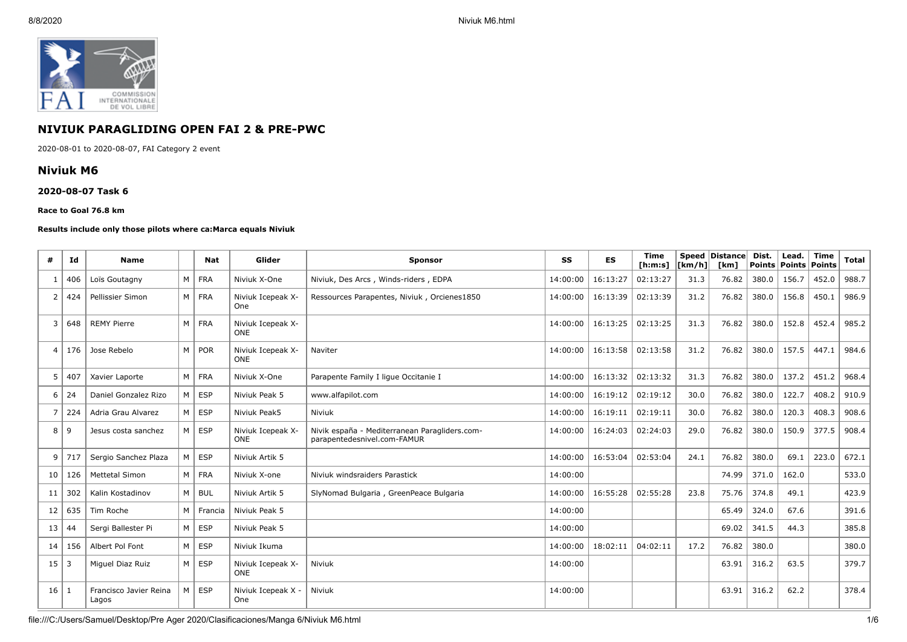

# **NIVIUK PARAGLIDING OPEN FAI 2 & PRE-PWC**

2020-08-01 to 2020-08-07, FAI Category 2 event

#### **Niviuk M6**

#### **2020-08-07 Task 6**

#### **Race to Goal 76.8 km**

#### **Results include only those pilots where ca:Marca equals Niviuk**

| #              | Ιd             | <b>Name</b>                     |   | <b>Nat</b> | Glider                          | <b>Sponsor</b>                                                               | SS       | <b>ES</b> | <b>Time</b><br>[ <b>h</b> : <b>m</b> : <b>s</b> ] | [km/h] | Speed Distance<br>[km] | Dist. | Lead.<br>Points   Points   Points | <b>Time</b> | <b>Total</b> |
|----------------|----------------|---------------------------------|---|------------|---------------------------------|------------------------------------------------------------------------------|----------|-----------|---------------------------------------------------|--------|------------------------|-------|-----------------------------------|-------------|--------------|
| -1             | 406            | Loïs Goutagny                   | M | <b>FRA</b> | Niviuk X-One                    | Niviuk, Des Arcs, Winds-riders, EDPA                                         | 14:00:00 | 16:13:27  | 02:13:27                                          | 31.3   | 76.82                  | 380.0 | 156.7                             | 452.0       | 988.7        |
| 2              | 424            | Pellissier Simon                | M | <b>FRA</b> | Niviuk Icepeak X-<br>One        | Ressources Parapentes, Niviuk, Orcienes1850                                  | 14:00:00 | 16:13:39  | 02:13:39                                          | 31.2   | 76.82                  | 380.0 | 156.8                             | 450.1       | 986.9        |
| 3              | 648            | <b>REMY Pierre</b>              | M | <b>FRA</b> | Niviuk Icepeak X-<br><b>ONE</b> |                                                                              | 14:00:00 | 16:13:25  | 02:13:25                                          | 31.3   | 76.82                  | 380.0 | 152.8                             | 452.4       | 985.2        |
| $\overline{a}$ | 176            | Jose Rebelo                     | M | POR        | Niviuk Icepeak X-<br><b>ONE</b> | Naviter                                                                      | 14:00:00 | 16:13:58  | 02:13:58                                          | 31.2   | 76.82                  | 380.0 | 157.5                             | 447.1       | 984.6        |
| 5              | 407            | Xavier Laporte                  | M | <b>FRA</b> | Niviuk X-One                    | Parapente Family I lique Occitanie I                                         | 14:00:00 | 16:13:32  | 02:13:32                                          | 31.3   | 76.82                  | 380.0 | 137.2                             | 451.2       | 968.4        |
| 6              | 24             | Daniel Gonzalez Rizo            | M | <b>ESP</b> | Niviuk Peak 5                   | www.alfapilot.com                                                            | 14:00:00 | 16:19:12  | 02:19:12                                          | 30.0   | 76.82                  | 380.0 | 122.7                             | 408.2       | 910.9        |
| $\overline{7}$ | 224            | Adria Grau Alvarez              | M | <b>ESP</b> | Niviuk Peak5                    | Niviuk                                                                       | 14:00:00 | 16:19:11  | 02:19:11                                          | 30.0   | 76.82                  | 380.0 | 120.3                             | 408.3       | 908.6        |
| 8              | 9              | Jesus costa sanchez             | M | <b>ESP</b> | Niviuk Icepeak X-<br><b>ONE</b> | Nivik españa - Mediterranean Paragliders.com-<br>parapentedesnivel.com-FAMUR | 14:00:00 | 16:24:03  | 02:24:03                                          | 29.0   | 76.82                  | 380.0 | 150.9                             | 377.5       | 908.4        |
| 9              | 717            | Sergio Sanchez Plaza            | M | <b>ESP</b> | Niviuk Artik 5                  |                                                                              | 14:00:00 | 16:53:04  | 02:53:04                                          | 24.1   | 76.82                  | 380.0 | 69.1                              | 223.0       | 672.1        |
| 10             | 126            | <b>Mettetal Simon</b>           | M | <b>FRA</b> | Niviuk X-one                    | Niviuk windsraiders Parastick                                                | 14:00:00 |           |                                                   |        | 74.99                  | 371.0 | 162.0                             |             | 533.0        |
| 11             | 302            | Kalin Kostadinov                | M | <b>BUL</b> | Niviuk Artik 5                  | SlyNomad Bulgaria, GreenPeace Bulgaria                                       | 14:00:00 | 16:55:28  | 02:55:28                                          | 23.8   | 75.76                  | 374.8 | 49.1                              |             | 423.9        |
| 12             | 635            | Tim Roche                       | м | Francia    | Niviuk Peak 5                   |                                                                              | 14:00:00 |           |                                                   |        | 65.49                  | 324.0 | 67.6                              |             | 391.6        |
| 13             | 44             | Sergi Ballester Pi              | M | <b>ESP</b> | Niviuk Peak 5                   |                                                                              | 14:00:00 |           |                                                   |        | 69.02                  | 341.5 | 44.3                              |             | 385.8        |
| 14             | 156            | Albert Pol Font                 | M | <b>ESP</b> | Niviuk Ikuma                    |                                                                              | 14:00:00 | 18:02:11  | 04:02:11                                          | 17.2   | 76.82                  | 380.0 |                                   |             | 380.0        |
| 15             | $\overline{3}$ | Miguel Diaz Ruiz                | M | <b>ESP</b> | Niviuk Icepeak X-<br><b>ONE</b> | <b>Niviuk</b>                                                                | 14:00:00 |           |                                                   |        | 63.91                  | 316.2 | 63.5                              |             | 379.7        |
| 16             | 1              | Francisco Javier Reina<br>Lagos | M | <b>ESP</b> | Niviuk Icepeak X -<br>One       | Niviuk                                                                       | 14:00:00 |           |                                                   |        | 63.91                  | 316.2 | 62.2                              |             | 378.4        |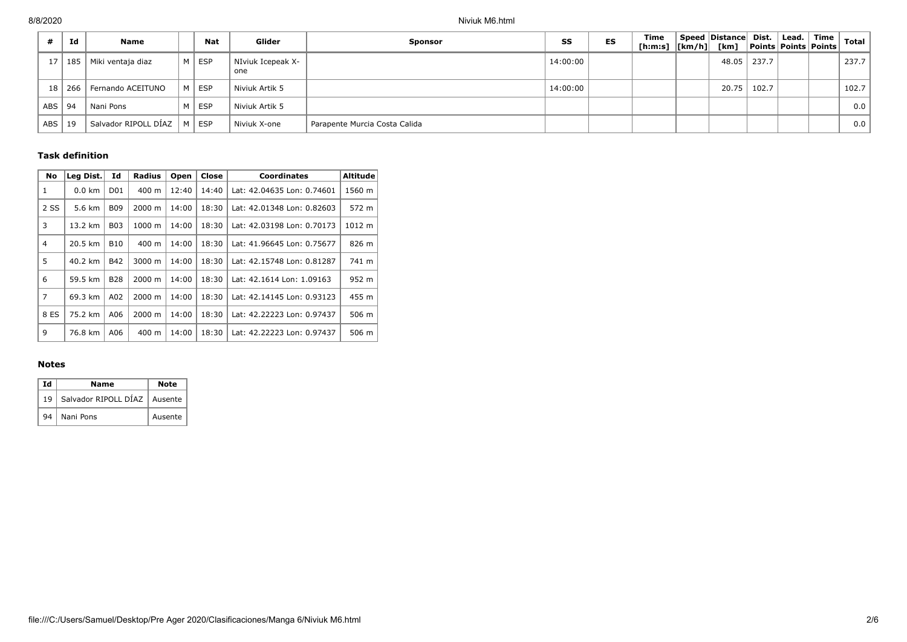|            | Id       | Name                 | <b>Nat</b> | Glider                   | <b>Sponsor</b>                | SS       | <b>ES</b> | Time<br>[h:m:s]  [km/h]  [km]  Points   Points   Points | Speed Distance Dist. |       | Lead.   Time | <b>Total</b> |
|------------|----------|----------------------|------------|--------------------------|-------------------------------|----------|-----------|---------------------------------------------------------|----------------------|-------|--------------|--------------|
| 17         | 185      | Miki ventaja diaz    | M   ESP    | NIviuk Icepeak X-<br>one |                               | 14:00:00 |           |                                                         | 48.05                | 237.7 |              | 237.7        |
|            | 18   266 | Fernando ACEITUNO    | M   ESP    | Niviuk Artik 5           |                               | 14:00:00 |           |                                                         | 20.75                | 102.7 |              | 102.7        |
| ABS        | 94       | Nani Pons            | M   ESP    | Niviuk Artik 5           |                               |          |           |                                                         |                      |       |              | 0.0          |
| <b>ABS</b> | 19       | Salvador RIPOLL DÍAZ | $ M $ ESP  | Niviuk X-one             | Parapente Murcia Costa Calida |          |           |                                                         |                      |       |              | 0.0          |

# **Task definition**

| No             | Leg Dist. | Id              | <b>Radius</b>      | Open  | Close | <b>Coordinates</b>         | <b>Altitude</b> |
|----------------|-----------|-----------------|--------------------|-------|-------|----------------------------|-----------------|
| 1              | $0.0$ km  | D <sub>01</sub> | 400 m              | 12:40 | 14:40 | Lat: 42.04635 Lon: 0.74601 | 1560 m          |
| 2 SS           | 5.6 km    | <b>B09</b>      | $2000 \; \text{m}$ | 14:00 | 18:30 | Lat: 42.01348 Lon: 0.82603 | 572 m           |
| 3              | 13.2 km   | <b>B03</b>      | $1000 \;{\rm m}$   | 14:00 | 18:30 | Lat: 42.03198 Lon: 0.70173 | 1012 m          |
| 4              | 20.5 km   | <b>B10</b>      | $400 \text{ m}$    | 14:00 | 18:30 | Lat: 41.96645 Lon: 0.75677 | 826 m           |
| 5              | 40.2 km   | B42             | 3000 m             | 14:00 | 18:30 | Lat: 42.15748 Lon: 0.81287 | 741 m           |
| 6              | 59.5 km   | <b>B28</b>      | $2000 \; \text{m}$ | 14:00 | 18:30 | Lat: 42.1614 Lon: 1.09163  | 952 m           |
| $\overline{7}$ | 69.3 km   | A02             | $2000 \; \text{m}$ | 14:00 | 18:30 | Lat: 42.14145 Lon: 0.93123 | 455 m           |
| 8 ES           | 75.2 km   | A06             | 2000 m             | 14:00 | 18:30 | Lat: 42.22223 Lon: 0.97437 | 506 m           |
| 9              | 76.8 km   | A06             | 400 m              | 14:00 | 18:30 | Lat: 42.22223 Lon: 0.97437 | 506 m           |

## **Notes**

| Ιd | Name                                | Note    |
|----|-------------------------------------|---------|
|    | 19   Salvador RIPOLL DÍAZ   Ausente |         |
|    | 94   Nani Pons                      | Ausente |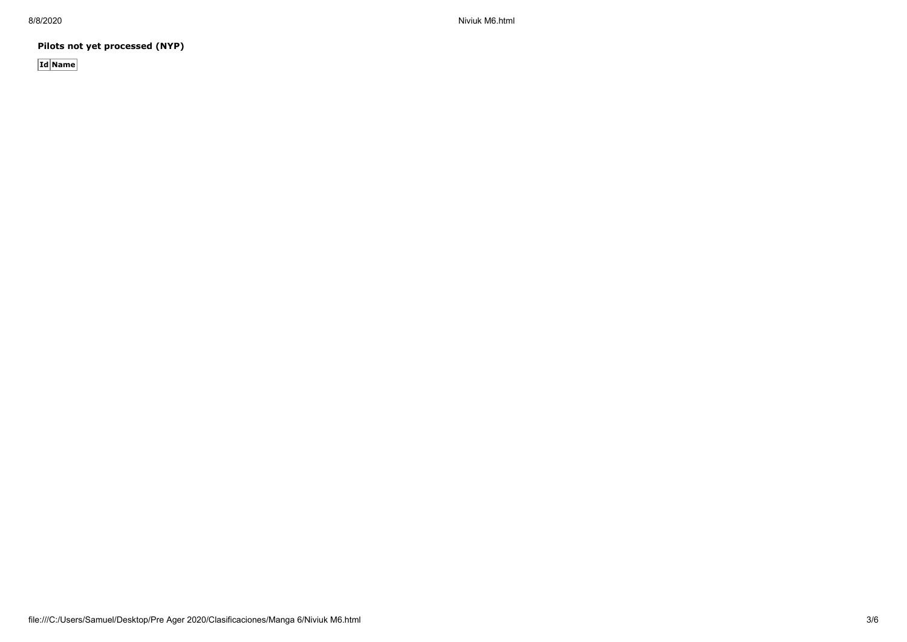8/8/2020 Niviuk M6.html

**Pilots not yet processed (NYP)**

**Id Name**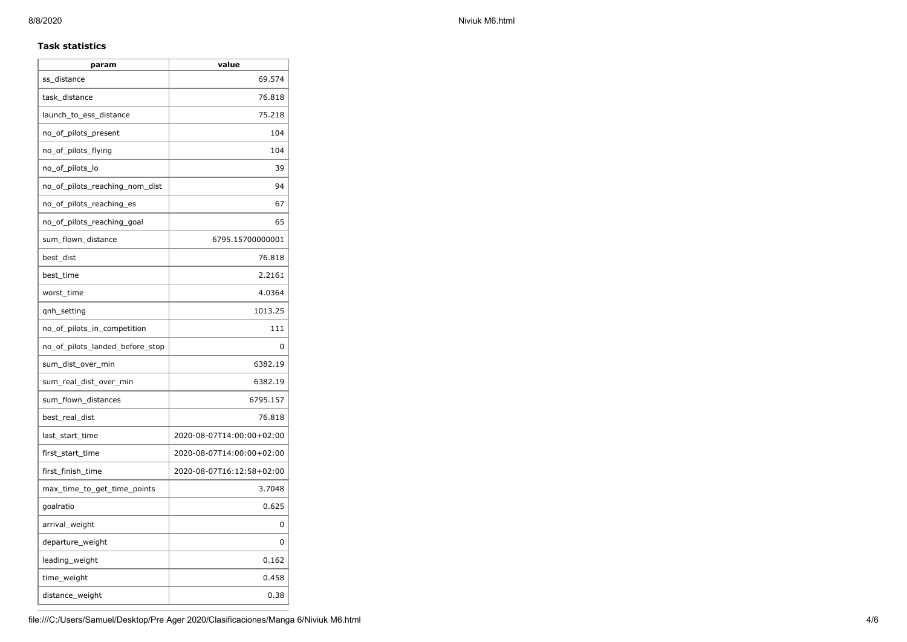## **Task statistics**

| param                           | value                     |
|---------------------------------|---------------------------|
| ss_distance                     | 69.574                    |
| task_distance                   | 76.818                    |
| launch_to_ess_distance          | 75.218                    |
| no_of_pilots_present            | 104                       |
| no_of_pilots_flying             | 104                       |
| no_of_pilots_lo                 | 39                        |
| no_of_pilots_reaching_nom_dist  | 94                        |
| no_of_pilots_reaching_es        | 67                        |
| no_of_pilots_reaching_goal      | 65                        |
| sum_flown_distance              | 6795.15700000001          |
| best dist                       | 76.818                    |
| best_time                       | 2.2161                    |
| worst_time                      | 4.0364                    |
| gnh_setting                     | 1013.25                   |
| no_of_pilots_in_competition     | 111                       |
| no_of_pilots_landed_before_stop | 0                         |
| sum_dist_over_min               | 6382.19                   |
| sum_real_dist_over_min          | 6382.19                   |
| sum_flown_distances             | 6795.157                  |
| best_real_dist                  | 76.818                    |
| last_start_time                 | 2020-08-07T14:00:00+02:00 |
| first_start_time                | 2020-08-07T14:00:00+02:00 |
| first_finish_time               | 2020-08-07T16:12:58+02:00 |
| max_time_to_get_time_points     | 3.7048                    |
| goalratio                       | 0.625                     |
| arrival_weight                  | 0                         |
| departure_weight                | 0                         |
| leading_weight                  | 0.162                     |
| time_weight                     | 0.458                     |
| distance_weight                 | 0.38                      |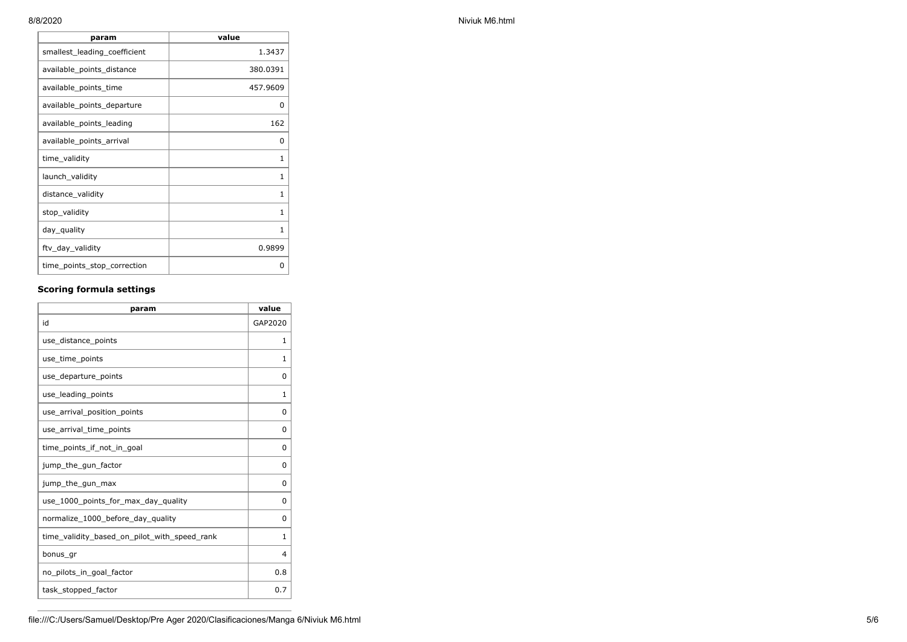| param                        | value    |
|------------------------------|----------|
| smallest_leading_coefficient | 1.3437   |
| available_points_distance    | 380.0391 |
| available_points_time        | 457.9609 |
| available_points_departure   | 0        |
| available_points_leading     | 162      |
| available_points_arrival     | 0        |
| time_validity                | 1        |
| launch_validity              | 1        |
| distance_validity            | 1        |
| stop_validity                | 1        |
| day_quality                  | 1        |
| ftv_day_validity             | 0.9899   |
| time_points_stop_correction  | 0        |

## **Scoring formula settings**

| param                                        | value          |
|----------------------------------------------|----------------|
| id                                           | GAP2020        |
| use_distance_points                          | $\mathbf{1}$   |
| use_time_points                              | 1              |
| use_departure_points                         | $\Omega$       |
| use_leading_points                           | 1              |
| use arrival position points                  | $\Omega$       |
| use_arrival_time_points                      | 0              |
| time points if not in goal                   | 0              |
| jump_the_gun_factor                          | $\Omega$       |
| jump_the_gun_max                             | 0              |
| use 1000 points for max day quality          | $\Omega$       |
| normalize_1000_before_day_quality            | $\Omega$       |
| time_validity_based_on_pilot_with_speed_rank | 1              |
| bonus_gr                                     | $\overline{4}$ |
| no pilots in goal factor                     | 0.8            |
| task_stopped_factor                          | 0.7            |

8/8/2020 Niviuk M6.html